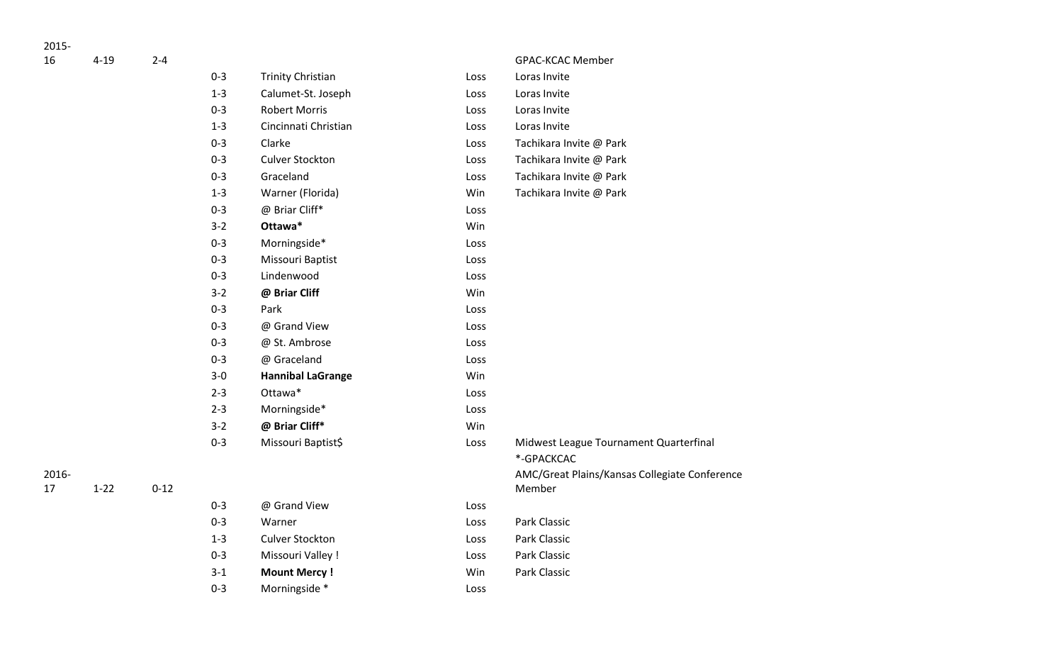| 16 |  |  |
|----|--|--|

| 16          | $4 - 19$ | $2 - 4$  |         |                          |      | GPAC-KCAC Member                                        |
|-------------|----------|----------|---------|--------------------------|------|---------------------------------------------------------|
|             |          |          | $0 - 3$ | <b>Trinity Christian</b> | Loss | Loras Invite                                            |
|             |          |          | $1 - 3$ | Calumet-St. Joseph       | Loss | Loras Invite                                            |
|             |          |          | $0 - 3$ | <b>Robert Morris</b>     | Loss | Loras Invite                                            |
|             |          |          | $1 - 3$ | Cincinnati Christian     | Loss | Loras Invite                                            |
|             |          |          | $0 - 3$ | Clarke                   | Loss | Tachikara Invite @ Park                                 |
|             |          |          | $0 - 3$ | <b>Culver Stockton</b>   | Loss | Tachikara Invite @ Park                                 |
|             |          |          | $0 - 3$ | Graceland                | Loss | Tachikara Invite @ Park                                 |
|             |          |          | $1 - 3$ | Warner (Florida)         | Win  | Tachikara Invite @ Park                                 |
|             |          |          | $0 - 3$ | @ Briar Cliff*           | Loss |                                                         |
|             |          |          | $3 - 2$ | Ottawa*                  | Win  |                                                         |
|             |          |          | $0 - 3$ | Morningside*             | Loss |                                                         |
|             |          |          | $0 - 3$ | Missouri Baptist         | Loss |                                                         |
|             |          |          | $0 - 3$ | Lindenwood               | Loss |                                                         |
|             |          |          | $3 - 2$ | @ Briar Cliff            | Win  |                                                         |
|             |          |          | $0 - 3$ | Park                     | Loss |                                                         |
|             |          |          | $0 - 3$ | @ Grand View             | Loss |                                                         |
|             |          |          | $0 - 3$ | @ St. Ambrose            | Loss |                                                         |
|             |          |          | $0 - 3$ | @ Graceland              | Loss |                                                         |
|             |          |          | $3-0$   | <b>Hannibal LaGrange</b> | Win  |                                                         |
|             |          |          | $2 - 3$ | Ottawa*                  | Loss |                                                         |
|             |          |          | $2 - 3$ | Morningside*             | Loss |                                                         |
|             |          |          | $3-2$   | @ Briar Cliff*           | Win  |                                                         |
|             |          |          | $0 - 3$ | Missouri Baptist\$       | Loss | Midwest League Tournament Quarterfinal                  |
|             |          |          |         |                          |      | *-GPACKCAC                                              |
| 2016-<br>17 | $1 - 22$ | $0 - 12$ |         |                          |      | AMC/Great Plains/Kansas Collegiate Conference<br>Member |
|             |          |          | $0 - 3$ | @ Grand View             | Loss |                                                         |
|             |          |          | $0 - 3$ | Warner                   | Loss | Park Classic                                            |
|             |          |          | $1 - 3$ | Culver Stockton          | Loss | Park Classic                                            |
|             |          |          | $0 - 3$ | Missouri Valley !        | Loss | Park Classic                                            |
|             |          |          | $3-1$   | <b>Mount Mercy!</b>      | Win  | Park Classic                                            |
|             |          |          | $0 - 3$ | Morningside *            | Loss |                                                         |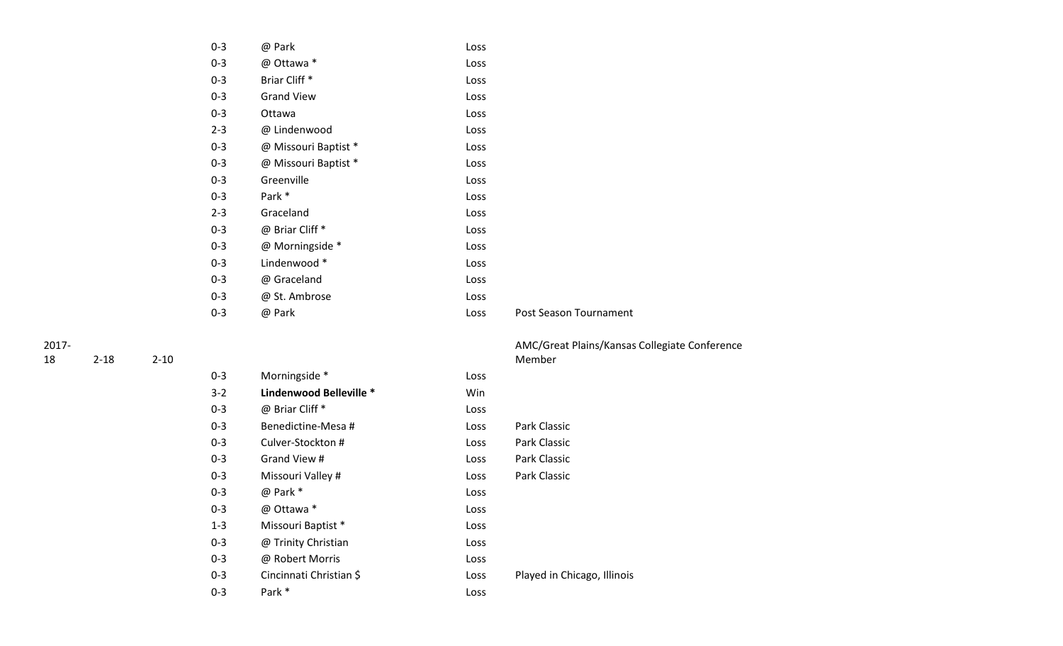| $0 - 3$ | @ Park                   | Loss |
|---------|--------------------------|------|
| $0 - 3$ | @ Ottawa *               | Loss |
| $0 - 3$ | Briar Cliff <sup>*</sup> | Loss |
| $0 - 3$ | <b>Grand View</b>        | Loss |
| $0 - 3$ | Ottawa                   | Loss |
| $2 - 3$ | @ Lindenwood             | Loss |
| $0 - 3$ | @ Missouri Baptist *     | Loss |
| $0 - 3$ | @ Missouri Baptist *     | Loss |
| $0 - 3$ | Greenville               | Loss |
| $0 - 3$ | Park <sup>*</sup>        | Loss |
| $2 - 3$ | Graceland                | Loss |
| $0 - 3$ | @ Briar Cliff *          | Loss |
| $0 - 3$ | @ Morningside *          | Loss |
| $0 - 3$ | Lindenwood *             | Loss |
| $0 - 3$ | @ Graceland              | Loss |
| $0 - 3$ | @ St. Ambrose            | Loss |
| 0-3     | @ Park                   | Loss |
|         |                          |      |

| 18 | $2 - 18$ | $2 - 10$ |
|----|----------|----------|
|    |          |          |

|         |                         |      | Member                      |
|---------|-------------------------|------|-----------------------------|
| $0 - 3$ | Morningside *           | Loss |                             |
| $3-2$   | Lindenwood Belleville * | Win  |                             |
| $0 - 3$ | @ Briar Cliff *         | Loss |                             |
| $0 - 3$ | Benedictine-Mesa #      | Loss | Park Classic                |
| $0 - 3$ | Culver-Stockton #       | Loss | Park Classic                |
| $0 - 3$ | Grand View #            | Loss | Park Classic                |
| $0 - 3$ | Missouri Valley #       | Loss | Park Classic                |
| $0 - 3$ | @ Park *                | Loss |                             |
| $0 - 3$ | @ Ottawa *              | Loss |                             |
| $1 - 3$ | Missouri Baptist *      | Loss |                             |
| $0 - 3$ | @ Trinity Christian     | Loss |                             |
| $0 - 3$ | @ Robert Morris         | Loss |                             |
| $0 - 3$ | Cincinnati Christian \$ | Loss | Played in Chicago, Illinois |
| $0 - 3$ | Park *                  | Loss |                             |

| AMC/Great Plains/Kansas Collegiate Conference |
|-----------------------------------------------|

Post Season Tournament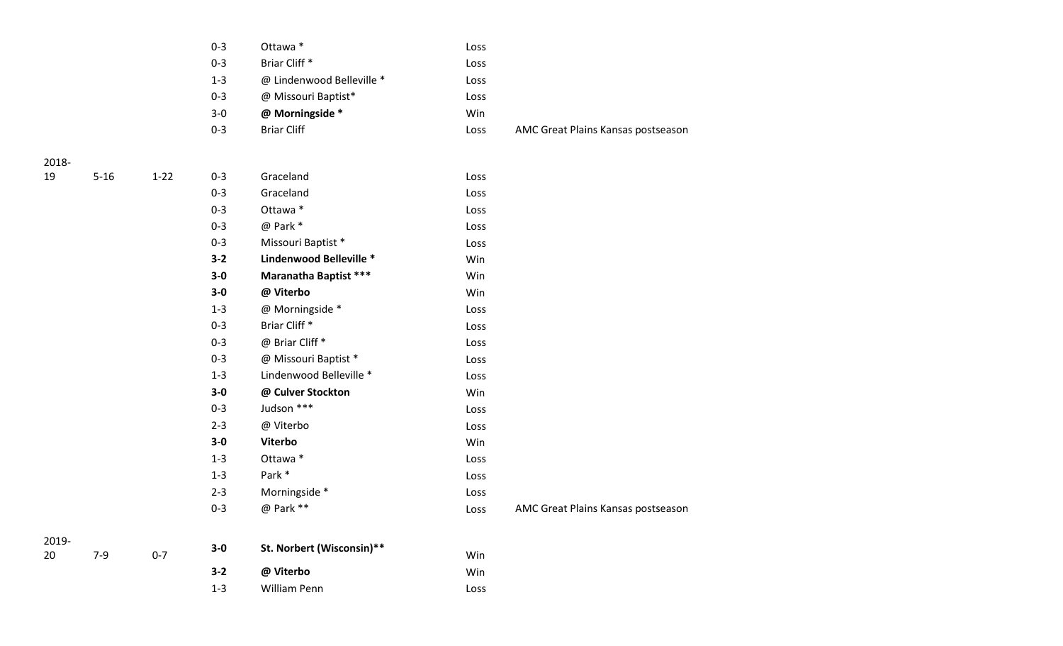| $0 - 3$ | Ottawa *                  | Loss |                                    |
|---------|---------------------------|------|------------------------------------|
| $0 - 3$ | Briar Cliff <sup>*</sup>  | Loss |                                    |
| $1 - 3$ | @ Lindenwood Belleville * | Loss |                                    |
| $0 - 3$ | @ Missouri Baptist*       | Loss |                                    |
| $3-0$   | @ Morningside *           | Win  |                                    |
| $0 - 3$ | <b>Briar Cliff</b>        | Loss | AMC Great Plains Kansas postseason |
|         |                           |      |                                    |

2019- 20

| 19 | $5 - 16$ | $1 - 22$ | $0 - 3$ | Graceland                    | Loss |
|----|----------|----------|---------|------------------------------|------|
|    |          |          | $0 - 3$ | Graceland                    | Loss |
|    |          |          | $0 - 3$ | Ottawa *                     | Loss |
|    |          |          | $0 - 3$ | @ Park *                     | Loss |
|    |          |          | $0 - 3$ | Missouri Baptist *           | Loss |
|    |          |          | $3 - 2$ | Lindenwood Belleville *      | Win  |
|    |          |          | $3-0$   | <b>Maranatha Baptist ***</b> | Win  |
|    |          |          | $3-0$   | @ Viterbo                    | Win  |
|    |          |          | $1 - 3$ | @ Morningside *              | Loss |
|    |          |          | $0 - 3$ | Briar Cliff*                 | Loss |
|    |          |          | $0 - 3$ | @ Briar Cliff *              | Loss |
|    |          |          | $0 - 3$ | @ Missouri Baptist *         | Loss |
|    |          |          | $1 - 3$ | Lindenwood Belleville *      | Loss |
|    |          |          | $3-0$   | @ Culver Stockton            | Win  |
|    |          |          | $0 - 3$ | Judson ***                   | Loss |
|    |          |          | $2 - 3$ | @ Viterbo                    | Loss |
|    |          |          | $3-0$   | Viterbo                      | Win  |
|    |          |          | $1 - 3$ | Ottawa *                     | Loss |
|    |          |          | $1 - 3$ | Park *                       | Loss |
|    |          |          | $2 - 3$ | Morningside *                | Loss |
|    |          |          | $0 - 3$ | @ Park **                    | Loss |
|    |          |          |         |                              |      |

| 7-9 | $0 - 7$ | $3-0$   | St. Norbert (Wisconsin)** | Win  |
|-----|---------|---------|---------------------------|------|
|     |         | $3 - 2$ | @ Viterbo                 | Win  |
|     |         | $1 - 3$ | William Penn              | Loss |

AMC Great Plains Kansas postseason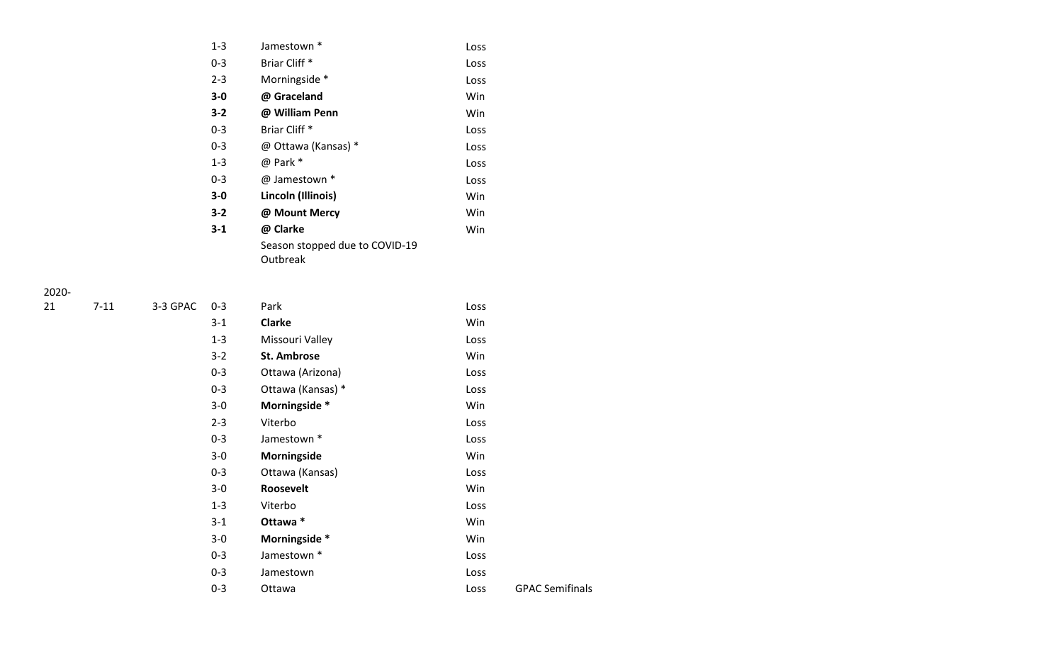| $1 - 3$ | Jamestown *                    | Loss |
|---------|--------------------------------|------|
| $0 - 3$ | Briar Cliff *                  | Loss |
| $2 - 3$ | Morningside *                  | Loss |
| $3-0$   | @ Graceland                    | Win  |
| $3 - 2$ | @ William Penn                 | Win  |
| $0 - 3$ | Briar Cliff *                  | Loss |
| $0 - 3$ | @ Ottawa (Kansas) *            | Loss |
| $1 - 3$ | @ Park *                       | Loss |
| $0 - 3$ | @ Jamestown *                  | Loss |
| $3-0$   | Lincoln (Illinois)             | Win  |
| $3 - 2$ | @ Mount Mercy                  | Win  |
| $3-1$   | @ Clarke                       | Win  |
|         | Season stopped due to COVID-19 |      |
|         | Outbreak                       |      |

| 21 | $7 - 11$ | 3-3 GPAC | $0 - 3$ | Park               | Loss |
|----|----------|----------|---------|--------------------|------|
|    |          |          | $3 - 1$ | <b>Clarke</b>      | Win  |
|    |          |          | $1 - 3$ | Missouri Valley    | Loss |
|    |          |          | $3 - 2$ | <b>St. Ambrose</b> | Win  |
|    |          |          | $0 - 3$ | Ottawa (Arizona)   | Loss |
|    |          |          | $0 - 3$ | Ottawa (Kansas) *  | Loss |
|    |          |          | $3-0$   | Morningside *      | Win  |
|    |          |          | $2 - 3$ | Viterbo            | Loss |
|    |          |          | $0 - 3$ | Jamestown *        | Loss |
|    |          |          | $3-0$   | Morningside        | Win  |
|    |          |          | $0 - 3$ | Ottawa (Kansas)    | Loss |
|    |          |          | $3-0$   | Roosevelt          | Win  |
|    |          |          | $1 - 3$ | Viterbo            | Loss |
|    |          |          | $3 - 1$ | Ottawa *           | Win  |
|    |          |          | $3-0$   | Morningside *      | Win  |
|    |          |          | $0 - 3$ | Jamestown *        | Loss |
|    |          |          | $0 - 3$ | Jamestown          | Loss |
|    |          |          | $0 - 3$ | Ottawa             | Loss |
|    |          |          |         |                    |      |

Loss GPAC Semifinals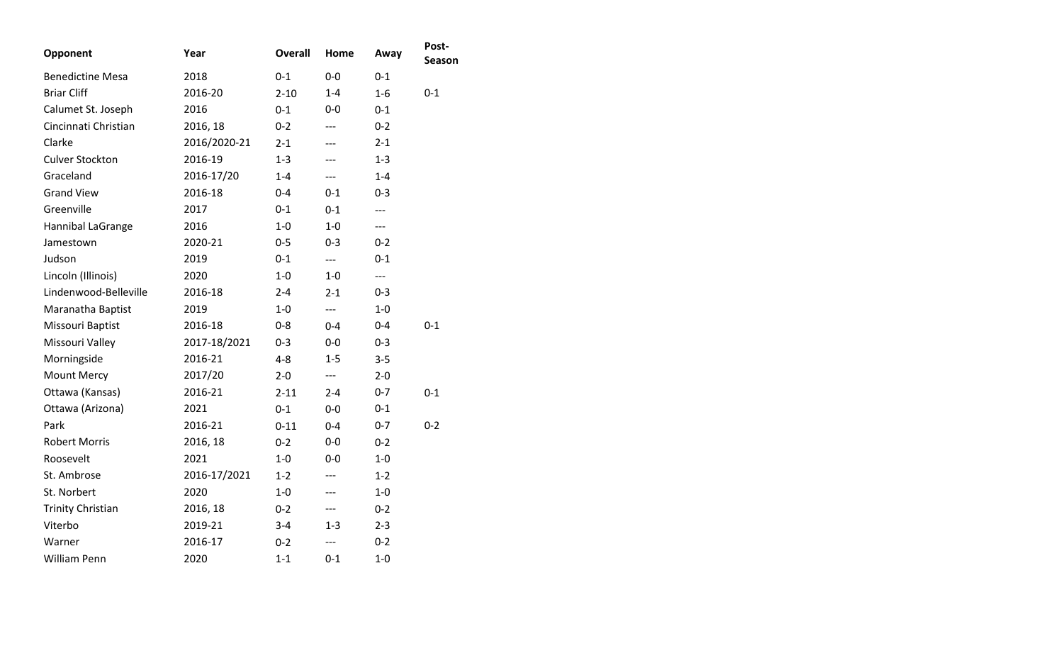| Opponent                 | Year         | <b>Overall</b> | Home    | Away    | Post-<br>Season |
|--------------------------|--------------|----------------|---------|---------|-----------------|
| <b>Benedictine Mesa</b>  | 2018         | $0 - 1$        | $0 - 0$ | $0 - 1$ |                 |
| <b>Briar Cliff</b>       | 2016-20      | $2 - 10$       | $1 - 4$ | $1-6$   | $0 - 1$         |
| Calumet St. Joseph       | 2016         | $0 - 1$        | $0 - 0$ | $0 - 1$ |                 |
| Cincinnati Christian     | 2016, 18     | $0 - 2$        | $---$   | $0 - 2$ |                 |
| Clarke                   | 2016/2020-21 | $2 - 1$        | ---     | $2 - 1$ |                 |
| <b>Culver Stockton</b>   | 2016-19      | $1 - 3$        | ---     | $1 - 3$ |                 |
| Graceland                | 2016-17/20   | $1 - 4$        | ---     | $1 - 4$ |                 |
| <b>Grand View</b>        | 2016-18      | $0 - 4$        | $0 - 1$ | $0 - 3$ |                 |
| Greenville               | 2017         | $0 - 1$        | $0 - 1$ | ---     |                 |
| Hannibal LaGrange        | 2016         | $1-0$          | $1-0$   | ---     |                 |
| Jamestown                | 2020-21      | $0 - 5$        | $0 - 3$ | $0 - 2$ |                 |
| Judson                   | 2019         | $0 - 1$        | $---$   | $0 - 1$ |                 |
| Lincoln (Illinois)       | 2020         | $1-0$          | $1 - 0$ | $---$   |                 |
| Lindenwood-Belleville    | 2016-18      | $2 - 4$        | $2 - 1$ | $0 - 3$ |                 |
| Maranatha Baptist        | 2019         | $1 - 0$        | ---     | $1-0$   |                 |
| Missouri Baptist         | 2016-18      | $0 - 8$        | $0 - 4$ | $0 - 4$ | $0 - 1$         |
| Missouri Valley          | 2017-18/2021 | $0 - 3$        | $0 - 0$ | $0 - 3$ |                 |
| Morningside              | 2016-21      | $4 - 8$        | $1 - 5$ | $3 - 5$ |                 |
| <b>Mount Mercy</b>       | 2017/20      | $2 - 0$        | $---$   | $2 - 0$ |                 |
| Ottawa (Kansas)          | 2016-21      | $2 - 11$       | $2 - 4$ | $0 - 7$ | $0 - 1$         |
| Ottawa (Arizona)         | 2021         | $0 - 1$        | $0-0$   | $0 - 1$ |                 |
| Park                     | 2016-21      | $0 - 11$       | $0 - 4$ | $0 - 7$ | $0 - 2$         |
| <b>Robert Morris</b>     | 2016, 18     | $0 - 2$        | $0-0$   | $0 - 2$ |                 |
| Roosevelt                | 2021         | $1-0$          | $0-0$   | 1-0     |                 |
| St. Ambrose              | 2016-17/2021 | $1 - 2$        | ---     | $1 - 2$ |                 |
| St. Norbert              | 2020         | $1-0$          | ---     | $1-0$   |                 |
| <b>Trinity Christian</b> | 2016, 18     | $0 - 2$        | ---     | $0 - 2$ |                 |
| Viterbo                  | 2019-21      | $3 - 4$        | $1 - 3$ | $2 - 3$ |                 |
| Warner                   | 2016-17      | $0 - 2$        | ---     | $0 - 2$ |                 |
| <b>William Penn</b>      | 2020         | $1 - 1$        | $0 - 1$ | $1-0$   |                 |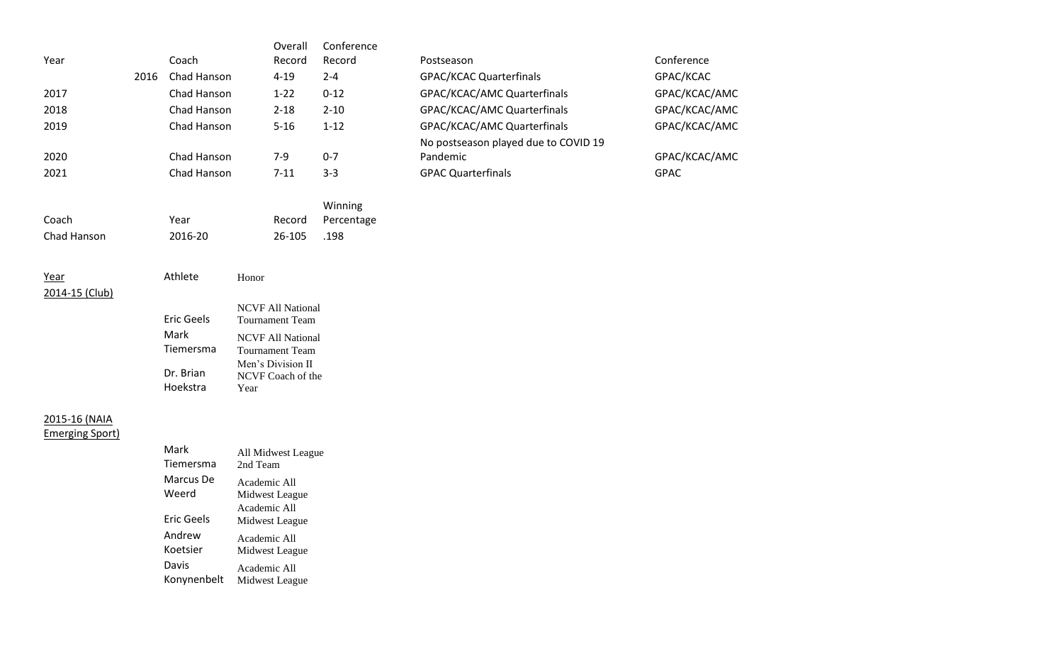|      |      |             | Overall  | Conference |                                      |               |
|------|------|-------------|----------|------------|--------------------------------------|---------------|
| Year |      | Coach       | Record   | Record     | Postseason                           | Conference    |
|      | 2016 | Chad Hanson | $4 - 19$ | $2 - 4$    | <b>GPAC/KCAC Quarterfinals</b>       | GPAC/KCAC     |
| 2017 |      | Chad Hanson | $1 - 22$ | $0 - 12$   | GPAC/KCAC/AMC Quarterfinals          | GPAC/KCAC/AMC |
| 2018 |      | Chad Hanson | $2 - 18$ | $2 - 10$   | GPAC/KCAC/AMC Quarterfinals          | GPAC/KCAC/AMC |
| 2019 |      | Chad Hanson | $5 - 16$ | $1 - 12$   | GPAC/KCAC/AMC Quarterfinals          | GPAC/KCAC/AMC |
|      |      |             |          |            | No postseason played due to COVID 19 |               |
| 2020 |      | Chad Hanson | $7-9$    | $0 - 7$    | Pandemic                             | GPAC/KCAC/AMC |
| 2021 |      | Chad Hanson | $7 - 11$ | $3 - 3$    | <b>GPAC Quarterfinals</b>            | <b>GPAC</b>   |
|      |      |             |          | Winning    |                                      |               |

|             |         |        | VVIIIIIIIIK       |
|-------------|---------|--------|-------------------|
| Coach       | Year    |        | Record Percentage |
| Chad Hanson | 2016-20 | 26-105 | .198              |

# Year Athlete Honor 2014-15 (Club)

| <b>Eric Geels</b> | <b>NCVF All National</b><br><b>Tournament Team</b> |
|-------------------|----------------------------------------------------|
| Mark              | <b>NCVF All National</b>                           |
| Tiemersma         | <b>Tournament Team</b>                             |
| Dr. Brian         | Men's Division II<br>NCVF Coach of the             |
| Hoekstra          | Year                                               |

# 2015-16 (NAIA

Emerging Sport)

| Mark        | All Midwest League             |
|-------------|--------------------------------|
| Tiemersma   | 2nd Team                       |
| Marcus De   | Academic All                   |
| Weerd       | Midwest League                 |
| Eric Geels  | Academic All<br>Midwest League |
| Andrew      | Academic All                   |
| Koetsier    | Midwest League                 |
| Davis       | Academic All                   |
| Konynenbelt | Midwest League                 |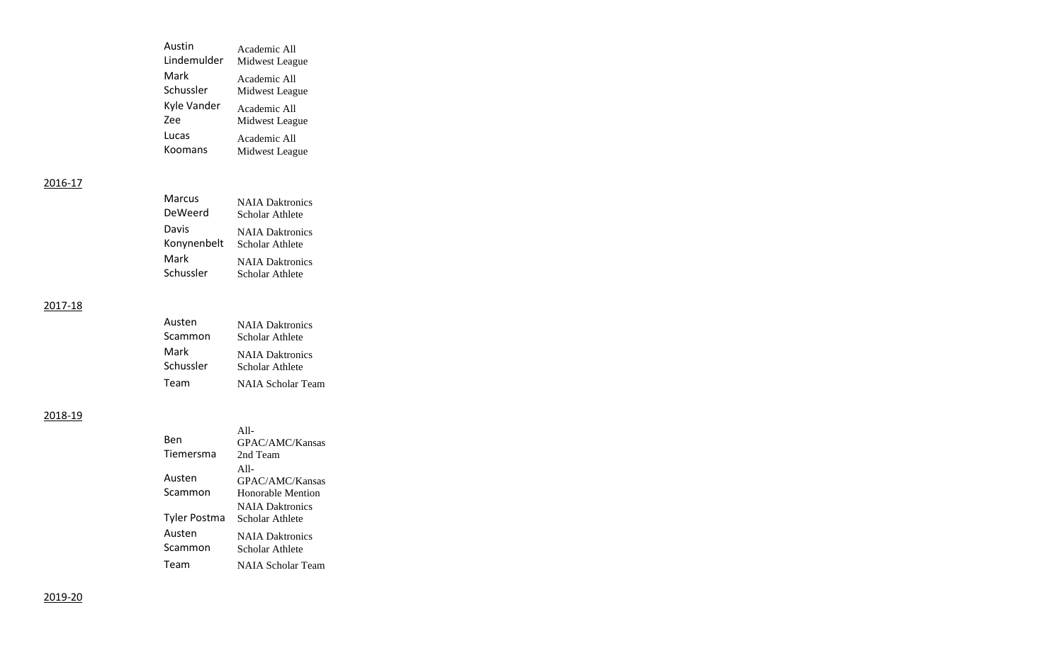| Austin      | Academic All   |
|-------------|----------------|
| Lindemulder | Midwest League |
| Mark        | Academic All   |
| Schussler   | Midwest League |
| Kyle Vander | Academic All   |
| Zee         | Midwest League |
| Lucas       | Academic All   |
| Koomans     | Midwest League |

| Marcus      | <b>NAIA</b> Daktronics |
|-------------|------------------------|
| DeWeerd     | Scholar Athlete        |
| Davis       | <b>NAIA</b> Daktronics |
| Konynenbelt | Scholar Athlete        |
| Mark        | <b>NAIA</b> Daktronics |
| Schussler   | Scholar Athlete        |

## 2017-18

| Austen    | <b>NAIA</b> Daktronics |
|-----------|------------------------|
| Scammon   | Scholar Athlete        |
| Mark      | <b>NAIA</b> Daktronics |
| Schussler | Scholar Athlete        |
| Team      | NAIA Scholar Team      |

## 2018-19

| Ben               | $A11-$<br>GPAC/AMC/Kansas                 |
|-------------------|-------------------------------------------|
| Tiemersma         | 2nd Team                                  |
| Austen            | $A11-$<br>GPAC/AMC/Kansas                 |
| Scammon           | Honorable Mention                         |
| Tyler Postma      | <b>NAIA</b> Daktronics<br>Scholar Athlete |
| Austen<br>Scammon | <b>NAIA</b> Daktronics<br>Scholar Athlete |
| Team              | NAIA Scholar Team                         |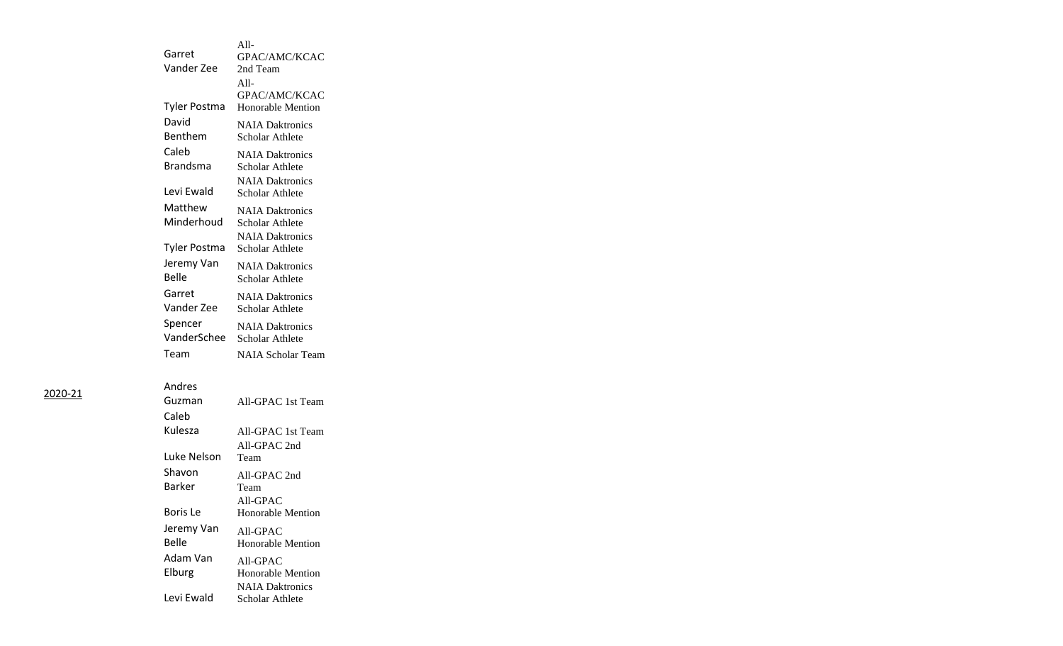|                     | $A11-$                   |
|---------------------|--------------------------|
| Garret              | GPAC/AMC/KCAC            |
| Vander Zee          | 2nd Team                 |
|                     | $All-$                   |
|                     | GPAC/AMC/KCAC            |
| Tyler Postma        | <b>Honorable Mention</b> |
| David               | <b>NAIA Daktronics</b>   |
| Benthem             | Scholar Athlete          |
| Caleb               | <b>NAIA Daktronics</b>   |
| <b>Brandsma</b>     | Scholar Athlete          |
|                     | <b>NAIA Daktronics</b>   |
| Levi Ewald          | Scholar Athlete          |
| Matthew             | <b>NAIA Daktronics</b>   |
| Minderhoud          | Scholar Athlete          |
|                     | <b>NAIA Daktronics</b>   |
| <b>Tyler Postma</b> | Scholar Athlete          |
| Jeremy Van          | <b>NAIA Daktronics</b>   |
| <b>Belle</b>        | Scholar Athlete          |
| Garret              | <b>NAIA Daktronics</b>   |
| Vander Zee          | Scholar Athlete          |
|                     |                          |
| Spencer             | <b>NAIA Daktronics</b>   |
| VanderSchee         | Scholar Athlete          |
| Team                | <b>NAIA Scholar Team</b> |
|                     |                          |
| Andres              |                          |
| Guzman              | All-GPAC 1st Team        |
| Caleb               |                          |

| uuziliall   | AII-GPAC. ISE TEAM       |
|-------------|--------------------------|
| Caleb       |                          |
| Kulesza     | All-GPAC 1st Team        |
|             | $All-GPAC$ 2nd           |
| Luke Nelson | Team                     |
| Shavon      | All-GPAC 2nd             |
| Barker      | Team                     |
|             | All-GPAC                 |
| Boris Le    | Honorable Mention        |
| Jeremy Van  | All-GPAC                 |
| Belle       | <b>Honorable Mention</b> |
| Adam Van    | All-GPAC                 |
| Elburg      | Honorable Mention        |
|             | <b>NAIA Daktronics</b>   |
| Levi Ewald  | Scholar Athlete          |
|             |                          |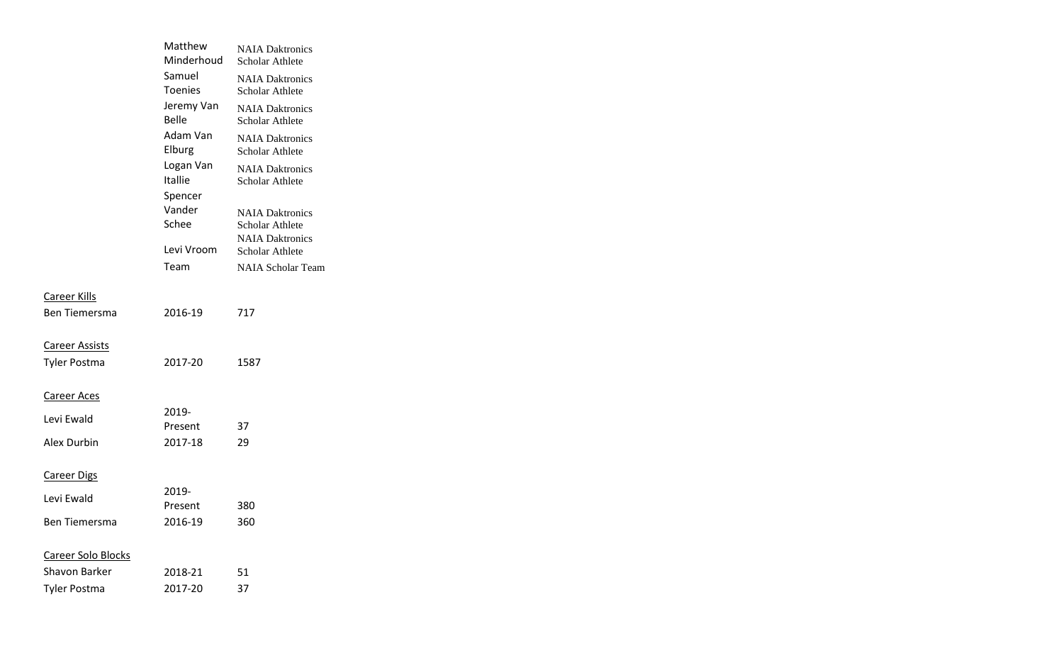|                       | Matthew<br>Minderhoud       | <b>NAIA Daktronics</b><br>Scholar Athlete |
|-----------------------|-----------------------------|-------------------------------------------|
|                       | Samuel<br><b>Toenies</b>    | <b>NAIA Daktronics</b><br>Scholar Athlete |
|                       | Jeremy Van<br><b>Belle</b>  | <b>NAIA Daktronics</b><br>Scholar Athlete |
|                       | Adam Van<br>Elburg          | <b>NAIA Daktronics</b><br>Scholar Athlete |
|                       | Logan Van<br><b>Itallie</b> | <b>NAIA Daktronics</b><br>Scholar Athlete |
|                       | Spencer<br>Vander<br>Schee  | <b>NAIA Daktronics</b><br>Scholar Athlete |
|                       | Levi Vroom                  | <b>NAIA Daktronics</b><br>Scholar Athlete |
|                       | Team                        | <b>NAIA Scholar Team</b>                  |
| Career Kills          |                             |                                           |
| <b>Ben Tiemersma</b>  | 2016-19                     | 717                                       |
| <b>Career Assists</b> |                             |                                           |
| <b>Tyler Postma</b>   | 2017-20                     | 1587                                      |
| Career Aces           |                             |                                           |
| Levi Ewald            | 2019-                       |                                           |
| Alex Durbin           | Present<br>2017-18          | 37<br>29                                  |
| <b>Career Digs</b>    |                             |                                           |
|                       | 2019-                       |                                           |
| Levi Ewald            | Present                     | 380                                       |
| Ben Tiemersma         | 2016-19                     | 360                                       |
| Career Solo Blocks    |                             |                                           |
| <b>Shavon Barker</b>  | 2018-21                     | 51                                        |
| <b>Tyler Postma</b>   | 2017-20                     | 37                                        |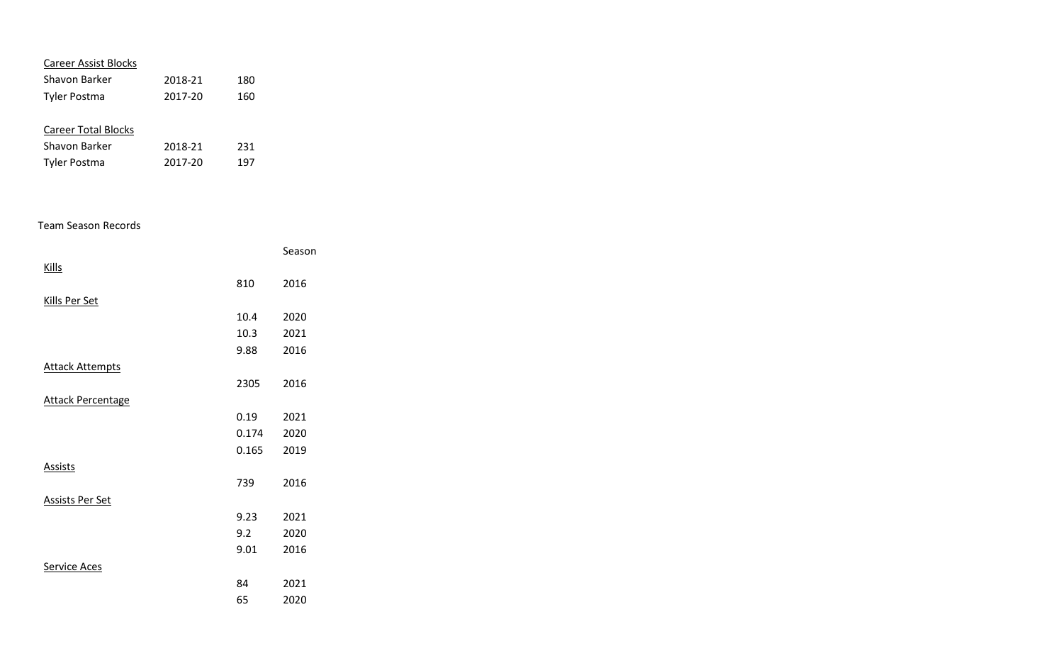| <b>Career Assist Blocks</b>     |         |     |  |  |
|---------------------------------|---------|-----|--|--|
| Shavon Barker<br>2018-21<br>180 |         |     |  |  |
| <b>Tyler Postma</b>             | 2017-20 | 160 |  |  |
|                                 |         |     |  |  |
| <b>Career Total Blocks</b>      |         |     |  |  |
| Shavon Barker                   | 2018-21 | 231 |  |  |
| Tyler Postma                    | 2017-20 | 197 |  |  |

#### Team Season Records

|                          |       | Season |
|--------------------------|-------|--------|
| <b>Kills</b>             |       |        |
|                          | 810   | 2016   |
| <b>Kills Per Set</b>     |       |        |
|                          | 10.4  | 2020   |
|                          | 10.3  | 2021   |
|                          | 9.88  | 2016   |
| <b>Attack Attempts</b>   |       |        |
|                          | 2305  | 2016   |
| <b>Attack Percentage</b> |       |        |
|                          | 0.19  | 2021   |
|                          | 0.174 | 2020   |
|                          | 0.165 | 2019   |
| <b>Assists</b>           |       |        |
|                          | 739   | 2016   |
| Assists Per Set          |       |        |
|                          | 9.23  | 2021   |
|                          | 9.2   | 2020   |
|                          | 9.01  | 2016   |
| <b>Service Aces</b>      |       |        |
|                          | 84    | 2021   |
|                          | 65    | 2020   |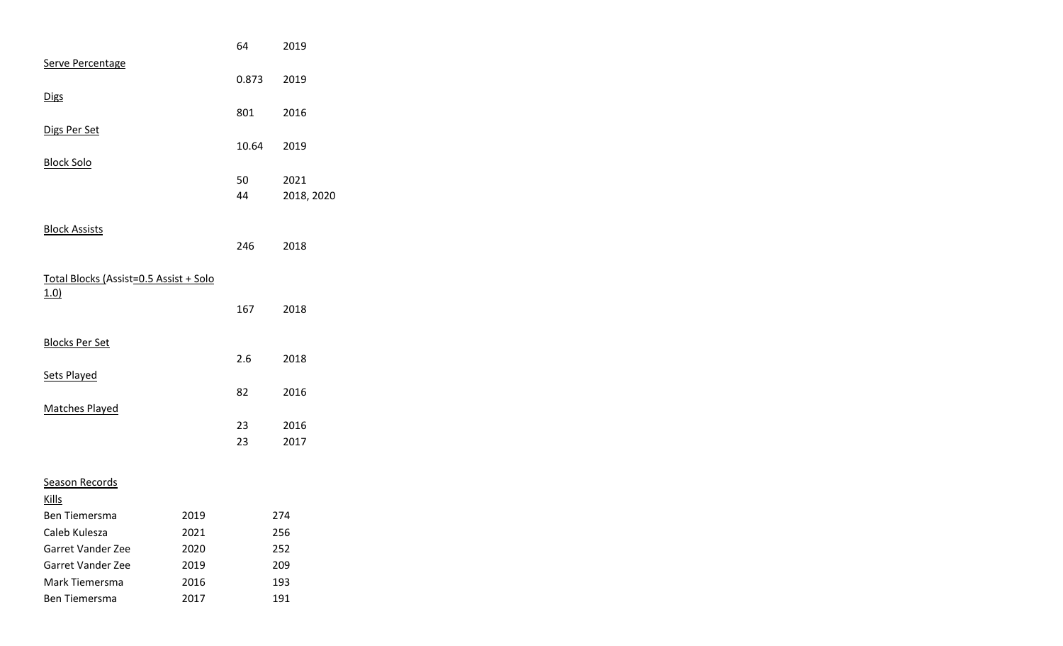|                                        |      | 64    | 2019       |
|----------------------------------------|------|-------|------------|
| Serve Percentage                       |      |       |            |
|                                        |      | 0.873 | 2019       |
| <b>Digs</b>                            |      |       |            |
|                                        |      | 801   | 2016       |
| Digs Per Set                           |      |       |            |
|                                        |      | 10.64 | 2019       |
| <b>Block Solo</b>                      |      |       |            |
|                                        |      | 50    | 2021       |
|                                        |      | 44    | 2018, 2020 |
|                                        |      |       |            |
| <b>Block Assists</b>                   |      |       |            |
|                                        |      | 246   | 2018       |
|                                        |      |       |            |
| Total Blocks (Assist=0.5 Assist + Solo |      |       |            |
| 1.0)                                   |      |       |            |
|                                        |      | 167   | 2018       |
|                                        |      |       |            |
| <b>Blocks Per Set</b>                  |      |       |            |
|                                        |      | 2.6   | 2018       |
| Sets Played                            |      |       |            |
|                                        |      | 82    | 2016       |
| <b>Matches Played</b>                  |      |       |            |
|                                        |      | 23    | 2016       |
|                                        |      | 23    | 2017       |
|                                        |      |       |            |
| <b>Season Records</b>                  |      |       |            |
| <b>Kills</b>                           |      |       |            |
| Ben Tiemersma                          | 2019 |       | 274        |
| Caleb Kulesza                          | 2021 |       | 256        |
| Garret Vander Zee                      | 2020 |       | 252        |
| Garret Vander Zee                      | 2019 |       | 209        |
| Mark Tiemersma                         | 2016 |       | 193        |
| Ben Tiemersma                          | 2017 |       | 191        |
|                                        |      |       |            |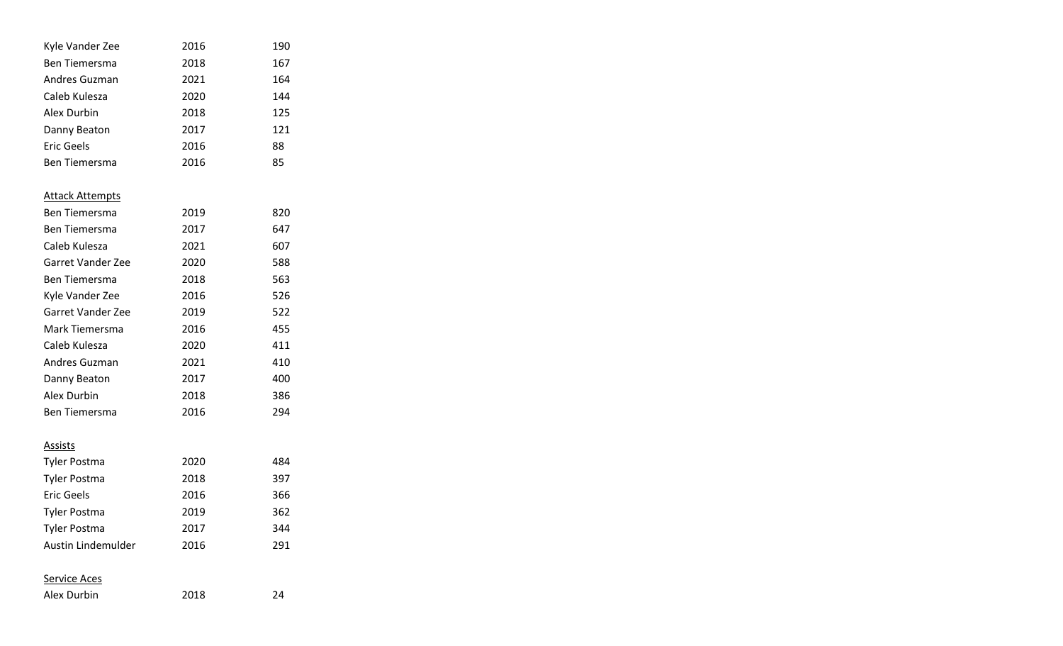| Kyle Vander Zee          | 2016 | 190 |
|--------------------------|------|-----|
| Ben Tiemersma            | 2018 | 167 |
| Andres Guzman            | 2021 | 164 |
| Caleb Kulesza            | 2020 | 144 |
| Alex Durbin              | 2018 | 125 |
| Danny Beaton             | 2017 | 121 |
| <b>Eric Geels</b>        | 2016 | 88  |
| <b>Ben Tiemersma</b>     | 2016 | 85  |
| <b>Attack Attempts</b>   |      |     |
| Ben Tiemersma            | 2019 | 820 |
| Ben Tiemersma            | 2017 | 647 |
| Caleb Kulesza            | 2021 | 607 |
| <b>Garret Vander Zee</b> | 2020 | 588 |
| <b>Ben Tiemersma</b>     | 2018 | 563 |
| Kyle Vander Zee          | 2016 | 526 |
| <b>Garret Vander Zee</b> | 2019 | 522 |
| Mark Tiemersma           | 2016 | 455 |
| Caleb Kulesza            | 2020 | 411 |
| Andres Guzman            | 2021 | 410 |
| Danny Beaton             | 2017 | 400 |
| Alex Durbin              | 2018 | 386 |
| Ben Tiemersma            | 2016 | 294 |
| <u>Assists</u>           |      |     |
| Tyler Postma             | 2020 | 484 |
| Tyler Postma             | 2018 | 397 |
| <b>Eric Geels</b>        | 2016 | 366 |
| Tyler Postma             | 2019 | 362 |
| Tyler Postma             | 2017 | 344 |
| Austin Lindemulder       | 2016 | 291 |
| <u>Service Aces</u>      |      |     |
| Alex Durbin              | 2018 | 24  |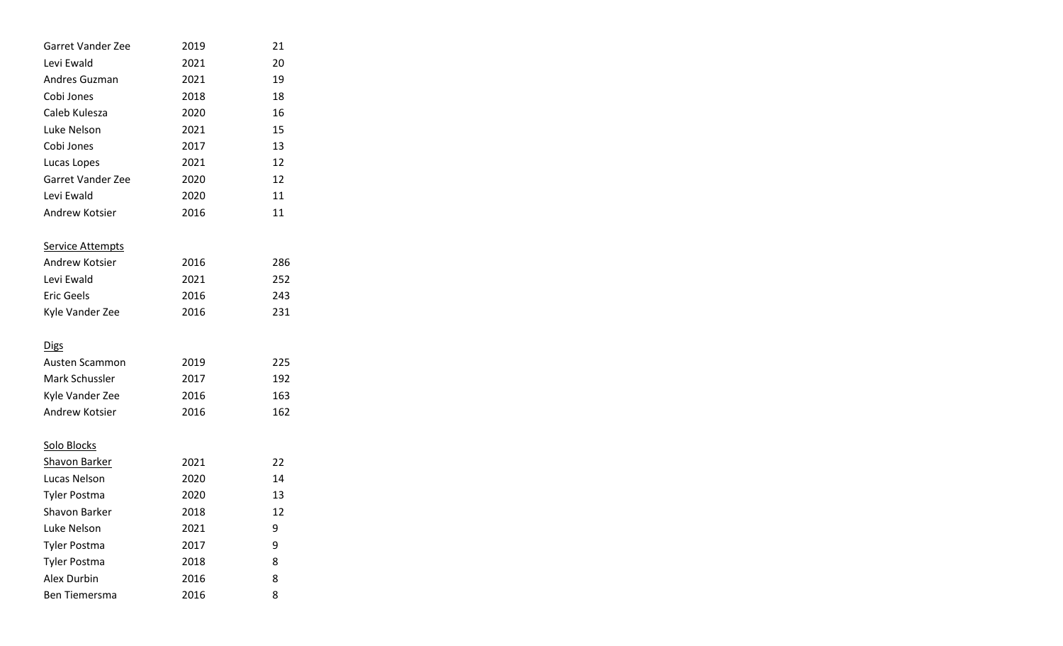| Garret Vander Zee        | 2019 | 21  |
|--------------------------|------|-----|
| Levi Ewald               | 2021 | 20  |
| Andres Guzman            | 2021 | 19  |
| Cobi Jones               | 2018 | 18  |
| Caleb Kulesza            | 2020 | 16  |
| Luke Nelson              | 2021 | 15  |
| Cobi Jones               | 2017 | 13  |
| Lucas Lopes              | 2021 | 12  |
| <b>Garret Vander Zee</b> | 2020 | 12  |
| Levi Ewald               | 2020 | 11  |
| Andrew Kotsier           | 2016 | 11  |
| <b>Service Attempts</b>  |      |     |
| Andrew Kotsier           | 2016 | 286 |
| Levi Ewald               | 2021 | 252 |
| <b>Eric Geels</b>        | 2016 | 243 |
| Kyle Vander Zee          | 2016 | 231 |
| <b>Digs</b>              |      |     |
| Austen Scammon           | 2019 | 225 |
| Mark Schussler           | 2017 | 192 |
| Kyle Vander Zee          | 2016 | 163 |
| Andrew Kotsier           | 2016 | 162 |
| Solo Blocks              |      |     |
| <b>Shavon Barker</b>     | 2021 | 22  |
| Lucas Nelson             | 2020 | 14  |
| <b>Tyler Postma</b>      | 2020 | 13  |
| Shavon Barker            | 2018 | 12  |
| Luke Nelson              | 2021 | 9   |
| <b>Tyler Postma</b>      | 2017 | 9   |
| <b>Tyler Postma</b>      | 2018 | 8   |
| <b>Alex Durbin</b>       | 2016 | 8   |
| Ben Tiemersma            | 2016 | 8   |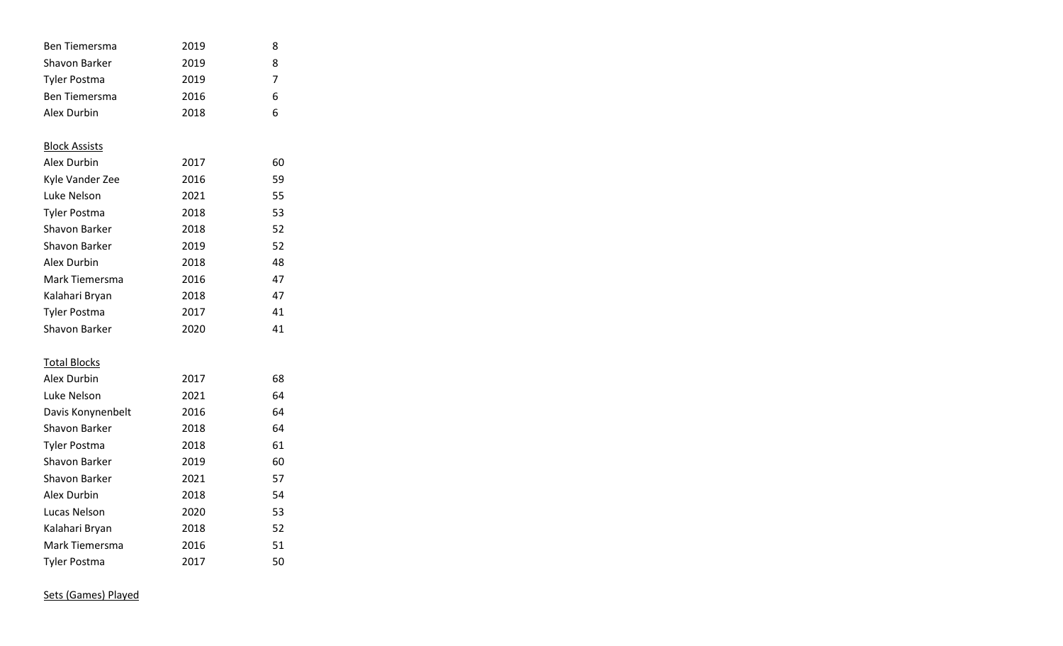|      | 8                                                    |
|------|------------------------------------------------------|
| 2019 | 8                                                    |
| 2019 | 7                                                    |
| 2016 | 6                                                    |
| 2018 | 6                                                    |
|      |                                                      |
|      |                                                      |
|      | 60                                                   |
|      | 59                                                   |
|      | 55                                                   |
|      | 53                                                   |
|      | 52                                                   |
| 2019 | 52                                                   |
| 2018 | 48                                                   |
| 2016 | 47                                                   |
| 2018 | 47                                                   |
| 2017 | 41                                                   |
| 2020 | 41                                                   |
|      |                                                      |
|      | 68                                                   |
| 2021 | 64                                                   |
| 2016 | 64                                                   |
| 2018 | 64                                                   |
| 2018 | 61                                                   |
| 2019 | 60                                                   |
| 2021 | 57                                                   |
| 2018 | 54                                                   |
| 2020 | 53                                                   |
| 2018 | 52                                                   |
| 2016 | 51                                                   |
| 2017 | 50                                                   |
|      | 2019<br>2017<br>2016<br>2021<br>2018<br>2018<br>2017 |

Sets (Games) Played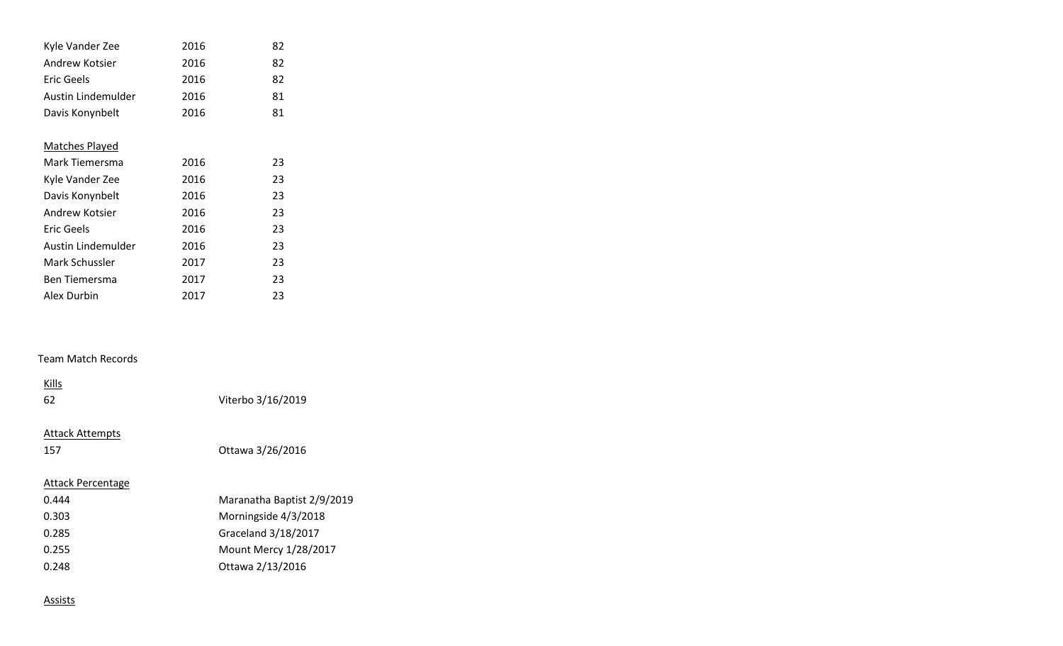| Kyle Vander Zee       | 2016 | 82 |
|-----------------------|------|----|
| Andrew Kotsier        | 2016 | 82 |
| Eric Geels            | 2016 | 82 |
| Austin Lindemulder    | 2016 | 81 |
| Davis Konynbelt       | 2016 | 81 |
|                       |      |    |
| <b>Matches Played</b> |      |    |
| Mark Tiemersma        | 2016 | 23 |
| Kyle Vander Zee       | 2016 | 23 |
| Davis Konynbelt       | 2016 | 23 |
| Andrew Kotsier        | 2016 | 23 |
| Eric Geels            | 2016 | 23 |
| Austin Lindemulder    | 2016 | 23 |
| Mark Schussler        | 2017 | 23 |
| <b>Ben Tiemersma</b>  | 2017 | 23 |
| Alex Durbin           | 2017 | 23 |

### Team Match Records

| Kills<br>62                   | Viterbo 3/16/2019          |
|-------------------------------|----------------------------|
| <b>Attack Attempts</b><br>157 | Ottawa 3/26/2016           |
| Attack Percentage             |                            |
| 0.444                         | Maranatha Baptist 2/9/2019 |
| 0.303                         | Morningside 4/3/2018       |
| 0.285                         | Graceland 3/18/2017        |
| 0.255                         | Mount Mercy 1/28/2017      |
| 0.248                         | Ottawa 2/13/2016           |
|                               |                            |

#### **Assists**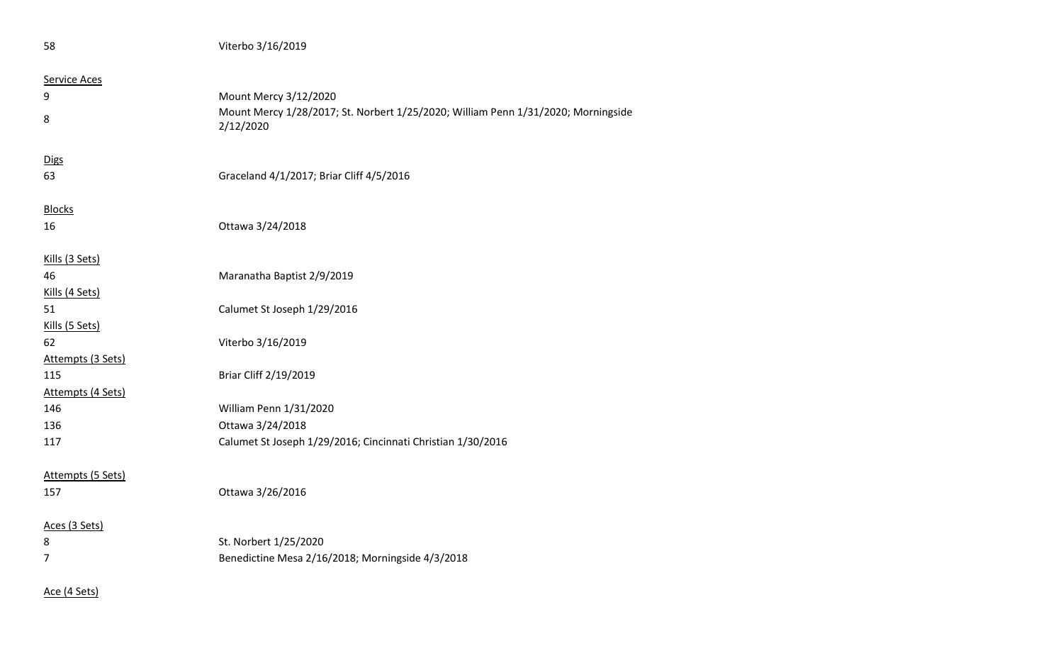| 58                  | Viterbo 3/16/2019                                                                              |
|---------------------|------------------------------------------------------------------------------------------------|
| <b>Service Aces</b> |                                                                                                |
| 9                   | Mount Mercy 3/12/2020                                                                          |
| 8                   | Mount Mercy 1/28/2017; St. Norbert 1/25/2020; William Penn 1/31/2020; Morningside<br>2/12/2020 |
| <b>Digs</b>         |                                                                                                |
| 63                  | Graceland 4/1/2017; Briar Cliff 4/5/2016                                                       |
| <b>Blocks</b>       |                                                                                                |
| 16                  | Ottawa 3/24/2018                                                                               |
| Kills (3 Sets)      |                                                                                                |
| 46                  | Maranatha Baptist 2/9/2019                                                                     |
| Kills (4 Sets)      |                                                                                                |
| 51                  | Calumet St Joseph 1/29/2016                                                                    |
| Kills (5 Sets)      |                                                                                                |
| 62                  | Viterbo 3/16/2019                                                                              |
| Attempts (3 Sets)   |                                                                                                |
| 115                 | Briar Cliff 2/19/2019                                                                          |
| Attempts (4 Sets)   |                                                                                                |
| 146                 | William Penn 1/31/2020                                                                         |
| 136                 | Ottawa 3/24/2018                                                                               |
| 117                 | Calumet St Joseph 1/29/2016; Cincinnati Christian 1/30/2016                                    |
| Attempts (5 Sets)   |                                                                                                |
| 157                 | Ottawa 3/26/2016                                                                               |
| Aces (3 Sets)       |                                                                                                |
| 8                   | St. Norbert 1/25/2020                                                                          |
| 7                   | Benedictine Mesa 2/16/2018; Morningside 4/3/2018                                               |
| Ace (4 Sets)        |                                                                                                |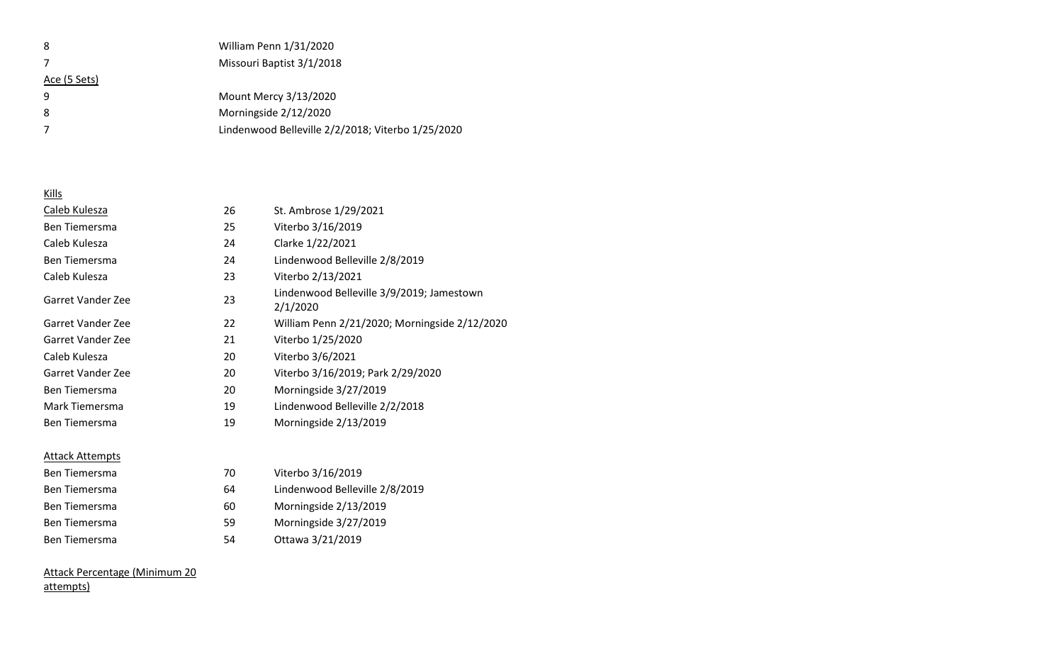| 8            | William Penn 1/31/2020                            |
|--------------|---------------------------------------------------|
|              | Missouri Baptist 3/1/2018                         |
| Ace (5 Sets) |                                                   |
| q            | Mount Mercy 3/13/2020                             |
| 8            | Morningside 2/12/2020                             |
|              | Lindenwood Belleville 2/2/2018; Viterbo 1/25/2020 |

## Kills

| Caleb Kulesza          | 26 | St. Ambrose 1/29/2021                                 |
|------------------------|----|-------------------------------------------------------|
| <b>Ben Tiemersma</b>   | 25 | Viterbo 3/16/2019                                     |
| Caleb Kulesza          | 24 | Clarke 1/22/2021                                      |
| Ben Tiemersma          | 24 | Lindenwood Belleville 2/8/2019                        |
| Caleb Kulesza          | 23 | Viterbo 2/13/2021                                     |
| Garret Vander Zee      | 23 | Lindenwood Belleville 3/9/2019; Jamestown<br>2/1/2020 |
| Garret Vander Zee      | 22 | William Penn 2/21/2020; Morningside 2/12/2020         |
| Garret Vander Zee      | 21 | Viterbo 1/25/2020                                     |
| Caleb Kulesza          | 20 | Viterbo 3/6/2021                                      |
| Garret Vander Zee      | 20 | Viterbo 3/16/2019; Park 2/29/2020                     |
| <b>Ben Tiemersma</b>   | 20 | Morningside 3/27/2019                                 |
| Mark Tiemersma         | 19 | Lindenwood Belleville 2/2/2018                        |
| <b>Ben Tiemersma</b>   | 19 | Morningside 2/13/2019                                 |
| <b>Attack Attempts</b> |    |                                                       |
| <b>Ben Tiemersma</b>   | 70 | Viterbo 3/16/2019                                     |
| <b>Ben Tiemersma</b>   | 64 | Lindenwood Belleville 2/8/2019                        |
| Ben Tiemersma          | 60 | Morningside 2/13/2019                                 |
| Ben Tiemersma          | 59 | Morningside 3/27/2019                                 |
| <b>Ben Tiemersma</b>   | 54 | Ottawa 3/21/2019                                      |

## Attack Percentage (Minimum 20 attempts)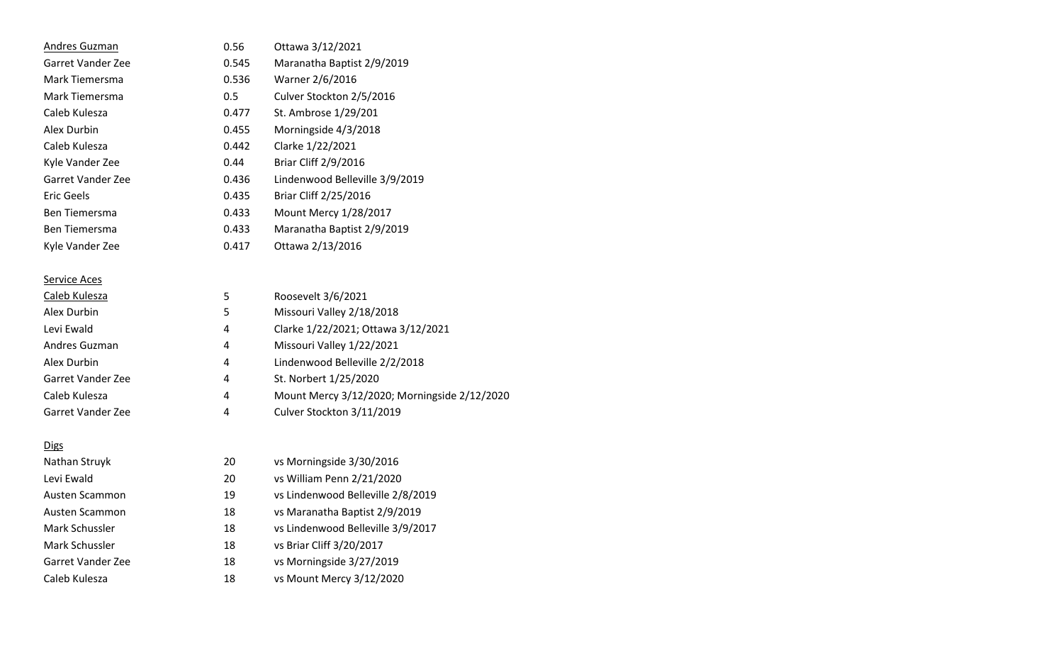| 0.56  | Ottawa 3/12/2021               |
|-------|--------------------------------|
| 0.545 | Maranatha Baptist 2/9/2019     |
| 0.536 | Warner 2/6/2016                |
| 0.5   | Culver Stockton 2/5/2016       |
| 0.477 | St. Ambrose 1/29/201           |
| 0.455 | Morningside 4/3/2018           |
| 0.442 | Clarke 1/22/2021               |
| 0.44  | <b>Briar Cliff 2/9/2016</b>    |
| 0.436 | Lindenwood Belleville 3/9/2019 |
| 0.435 | Briar Cliff 2/25/2016          |
| 0.433 | <b>Mount Mercy 1/28/2017</b>   |
| 0.433 | Maranatha Baptist 2/9/2019     |
| 0.417 | Ottawa 2/13/2016               |
|       |                                |

## Service Aces

| Caleb Kulesza     | 5 | Roosevelt 3/6/2021                           |
|-------------------|---|----------------------------------------------|
| Alex Durbin       | 5 | Missouri Valley 2/18/2018                    |
| Levi Ewald        | 4 | Clarke 1/22/2021; Ottawa 3/12/2021           |
| Andres Guzman     | 4 | Missouri Valley 1/22/2021                    |
| Alex Durbin       | 4 | Lindenwood Belleville 2/2/2018               |
| Garret Vander Zee | 4 | St. Norbert 1/25/2020                        |
| Caleb Kulesza     | 4 | Mount Mercy 3/12/2020; Morningside 2/12/2020 |
| Garret Vander Zee | 4 | Culver Stockton 3/11/2019                    |

## **Digs**

| Nathan Struyk     | 20 | vs Morningside 3/30/2016          |
|-------------------|----|-----------------------------------|
| Levi Ewald        | 20 | vs William Penn 2/21/2020         |
| Austen Scammon    | 19 | vs Lindenwood Belleville 2/8/2019 |
| Austen Scammon    | 18 | vs Maranatha Baptist 2/9/2019     |
| Mark Schussler    | 18 | vs Lindenwood Belleville 3/9/2017 |
| Mark Schussler    | 18 | vs Briar Cliff 3/20/2017          |
| Garret Vander Zee | 18 | vs Morningside 3/27/2019          |
| Caleb Kulesza     | 18 | vs Mount Mercy 3/12/2020          |
|                   |    |                                   |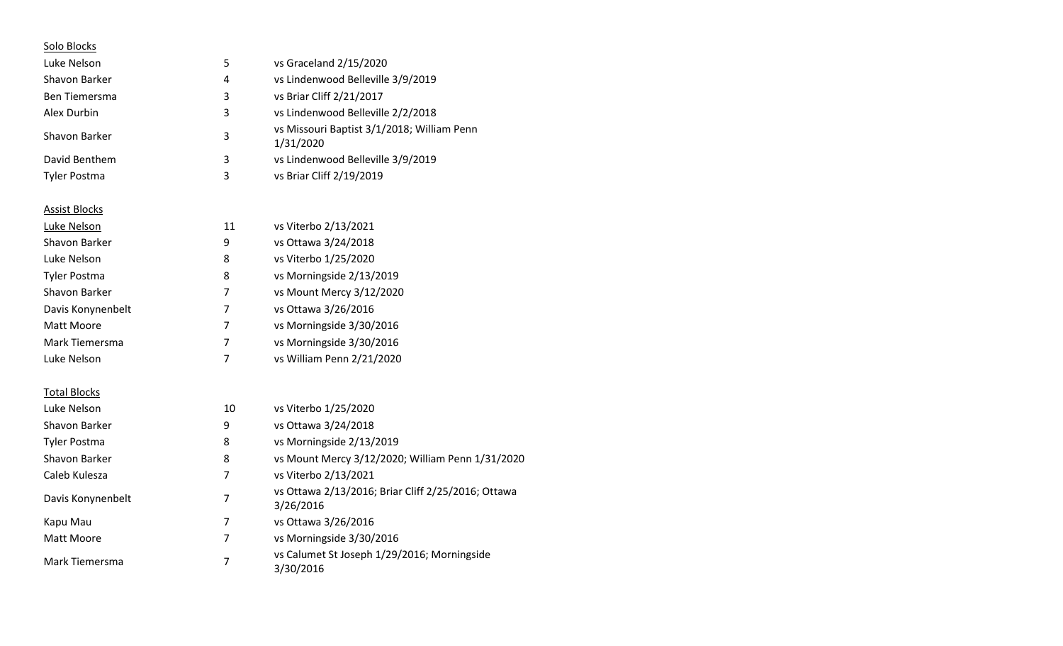| Solo Blocks          |                |                                                                 |
|----------------------|----------------|-----------------------------------------------------------------|
| Luke Nelson          | 5              | vs Graceland 2/15/2020                                          |
| Shavon Barker        | 4              | vs Lindenwood Belleville 3/9/2019                               |
| <b>Ben Tiemersma</b> | 3              | vs Briar Cliff 2/21/2017                                        |
| Alex Durbin          | 3              | vs Lindenwood Belleville 2/2/2018                               |
| Shavon Barker        | 3              | vs Missouri Baptist 3/1/2018; William Penn<br>1/31/2020         |
| David Benthem        | 3              | vs Lindenwood Belleville 3/9/2019                               |
| <b>Tyler Postma</b>  | 3              | vs Briar Cliff 2/19/2019                                        |
| <b>Assist Blocks</b> |                |                                                                 |
| Luke Nelson          | 11             | vs Viterbo 2/13/2021                                            |
| Shavon Barker        | 9              | vs Ottawa 3/24/2018                                             |
| Luke Nelson          | 8              | vs Viterbo 1/25/2020                                            |
| <b>Tyler Postma</b>  | 8              | vs Morningside 2/13/2019                                        |
| Shavon Barker        | 7              | vs Mount Mercy 3/12/2020                                        |
| Davis Konynenbelt    | 7              | vs Ottawa 3/26/2016                                             |
| <b>Matt Moore</b>    | 7              | vs Morningside 3/30/2016                                        |
| Mark Tiemersma       | $\overline{7}$ | vs Morningside 3/30/2016                                        |
| Luke Nelson          | 7              | vs William Penn 2/21/2020                                       |
| <b>Total Blocks</b>  |                |                                                                 |
| Luke Nelson          | 10             | vs Viterbo 1/25/2020                                            |
| Shavon Barker        | 9              | vs Ottawa 3/24/2018                                             |
| <b>Tyler Postma</b>  | 8              | vs Morningside 2/13/2019                                        |
| Shavon Barker        | 8              | vs Mount Mercy 3/12/2020; William Penn 1/31/2020                |
| Caleb Kulesza        | 7              | vs Viterbo 2/13/2021                                            |
| Davis Konynenbelt    | 7              | vs Ottawa 2/13/2016; Briar Cliff 2/25/2016; Ottawa<br>3/26/2016 |
| Kapu Mau             | 7              | vs Ottawa 3/26/2016                                             |
| Matt Moore           | $\overline{7}$ | vs Morningside 3/30/2016                                        |
| Mark Tiemersma       | $\overline{7}$ | vs Calumet St Joseph 1/29/2016; Morningside<br>3/30/2016        |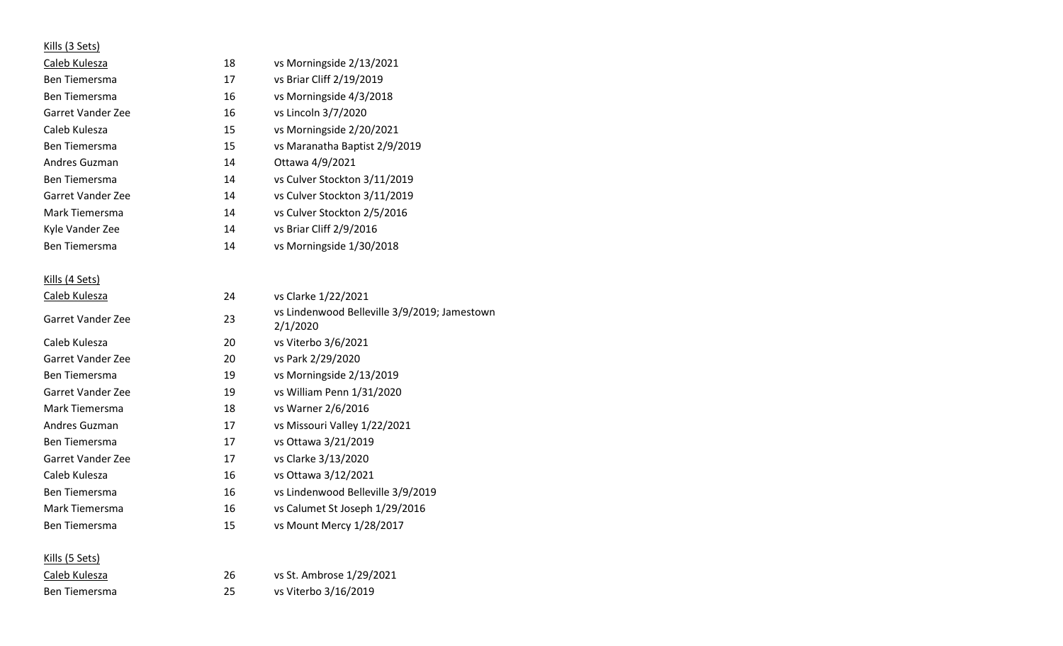# Kills (3 Sets)

| Caleb Kulesza        | 18 | vs Morningside 2/13/2021      |
|----------------------|----|-------------------------------|
| <b>Ben Tiemersma</b> | 17 | vs Briar Cliff 2/19/2019      |
| <b>Ben Tiemersma</b> | 16 | vs Morningside 4/3/2018       |
| Garret Vander Zee    | 16 | vs Lincoln 3/7/2020           |
| Caleb Kulesza        | 15 | vs Morningside 2/20/2021      |
| <b>Ben Tiemersma</b> | 15 | vs Maranatha Baptist 2/9/2019 |
| Andres Guzman        | 14 | Ottawa 4/9/2021               |
| <b>Ben Tiemersma</b> | 14 | vs Culver Stockton 3/11/2019  |
| Garret Vander Zee    | 14 | vs Culver Stockton 3/11/2019  |
| Mark Tiemersma       | 14 | vs Culver Stockton 2/5/2016   |
| Kyle Vander Zee      | 14 | vs Briar Cliff 2/9/2016       |
| <b>Ben Tiemersma</b> | 14 | vs Morningside 1/30/2018      |
|                      |    |                               |

# Kills (4 Sets)

| Caleb Kulesza        | 24 | vs Clarke 1/22/2021                                      |
|----------------------|----|----------------------------------------------------------|
| Garret Vander Zee    | 23 | vs Lindenwood Belleville 3/9/2019; Jamestown<br>2/1/2020 |
| Caleb Kulesza        | 20 | vs Viterbo 3/6/2021                                      |
| Garret Vander Zee    | 20 | vs Park 2/29/2020                                        |
| <b>Ben Tiemersma</b> | 19 | vs Morningside 2/13/2019                                 |
| Garret Vander Zee    | 19 | vs William Penn 1/31/2020                                |
| Mark Tiemersma       | 18 | vs Warner 2/6/2016                                       |
| Andres Guzman        | 17 | vs Missouri Valley 1/22/2021                             |
| <b>Ben Tiemersma</b> | 17 | vs Ottawa 3/21/2019                                      |
| Garret Vander Zee    | 17 | vs Clarke 3/13/2020                                      |
| Caleb Kulesza        | 16 | vs Ottawa 3/12/2021                                      |
| <b>Ben Tiemersma</b> | 16 | vs Lindenwood Belleville 3/9/2019                        |
| Mark Tiemersma       | 16 | vs Calumet St Joseph 1/29/2016                           |
| <b>Ben Tiemersma</b> | 15 | vs Mount Mercy 1/28/2017                                 |
|                      |    |                                                          |

| Kills (5 Sets) |    |                          |
|----------------|----|--------------------------|
| Caleb Kulesza  | 26 | vs St. Ambrose 1/29/2021 |
| Ben Tiemersma  | 25 | vs Viterbo 3/16/2019     |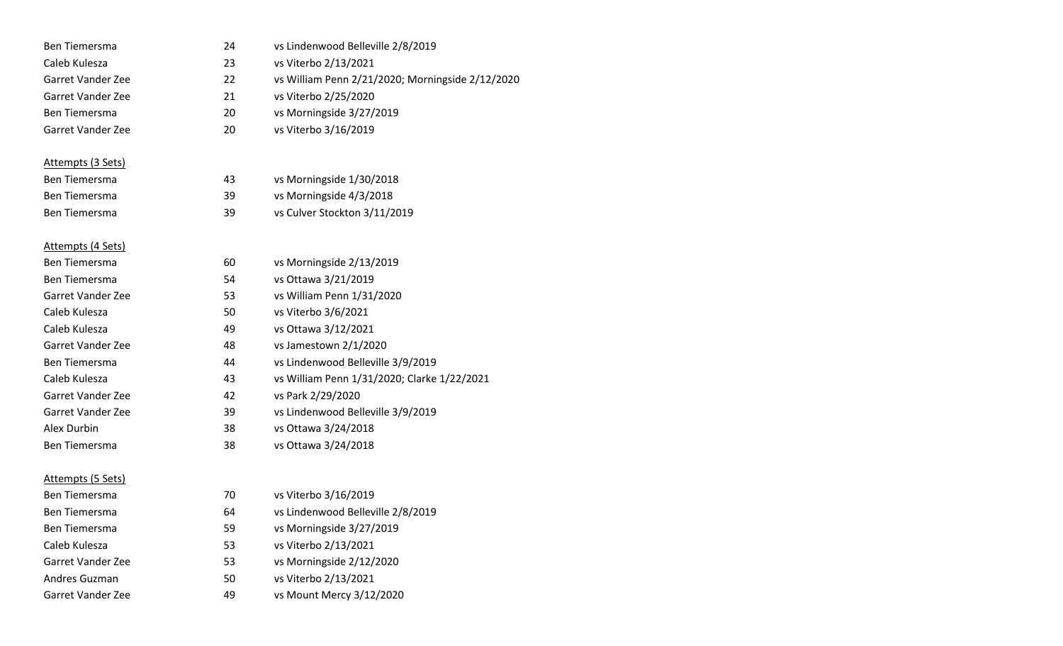| Ben Tiemersma            | 24 | vs Lindenwood Belleville 2/8/2019                |
|--------------------------|----|--------------------------------------------------|
| Caleb Kulesza            | 23 | vs Viterbo 2/13/2021                             |
| <b>Garret Vander Zee</b> | 22 | vs William Penn 2/21/2020; Morningside 2/12/2020 |
| Garret Vander Zee        | 21 | vs Viterbo 2/25/2020                             |
| Ben Tiemersma            | 20 | vs Morningside 3/27/2019                         |
| <b>Garret Vander Zee</b> | 20 | vs Viterbo 3/16/2019                             |
|                          |    |                                                  |
| Attempts (3 Sets)        |    |                                                  |
| <b>Ben Tiemersma</b>     | 43 | vs Morningside 1/30/2018                         |
| Ben Tiemersma            | 39 | vs Morningside 4/3/2018                          |
| Ben Tiemersma            | 39 | vs Culver Stockton 3/11/2019                     |
|                          |    |                                                  |
| Attempts (4 Sets)        |    |                                                  |
| <b>Ben Tiemersma</b>     | 60 | vs Morningside 2/13/2019                         |
| Ben Tiemersma            | 54 | vs Ottawa 3/21/2019                              |
| <b>Garret Vander Zee</b> | 53 | vs William Penn 1/31/2020                        |
| Caleb Kulesza            | 50 | vs Viterbo 3/6/2021                              |
| Caleb Kulesza            | 49 | vs Ottawa 3/12/2021                              |
| <b>Garret Vander Zee</b> | 48 | vs Jamestown 2/1/2020                            |
| Ben Tiemersma            | 44 | vs Lindenwood Belleville 3/9/2019                |
| Caleb Kulesza            | 43 | vs William Penn 1/31/2020; Clarke 1/22/2021      |
| Garret Vander Zee        | 42 | vs Park 2/29/2020                                |
| Garret Vander Zee        | 39 | vs Lindenwood Belleville 3/9/2019                |
| Alex Durbin              | 38 | vs Ottawa 3/24/2018                              |
| Ben Tiemersma            | 38 | vs Ottawa 3/24/2018                              |
|                          |    |                                                  |
| <u>Attempts (5 Sets)</u> |    |                                                  |
| <b>Ben Tiemersma</b>     | 70 | vs Viterbo 3/16/2019                             |
| <b>Ben Tiemersma</b>     | 64 | vs Lindenwood Belleville 2/8/2019                |
| Ben Tiemersma            | 59 | vs Morningside 3/27/2019                         |
| Caleb Kulesza            | 53 | vs Viterbo 2/13/2021                             |
| Garret Vander Zee        | 53 | vs Morningside 2/12/2020                         |
| Andres Guzman            | 50 | vs Viterbo 2/13/2021                             |
| Garret Vander Zee        | 49 | vs Mount Mercy 3/12/2020                         |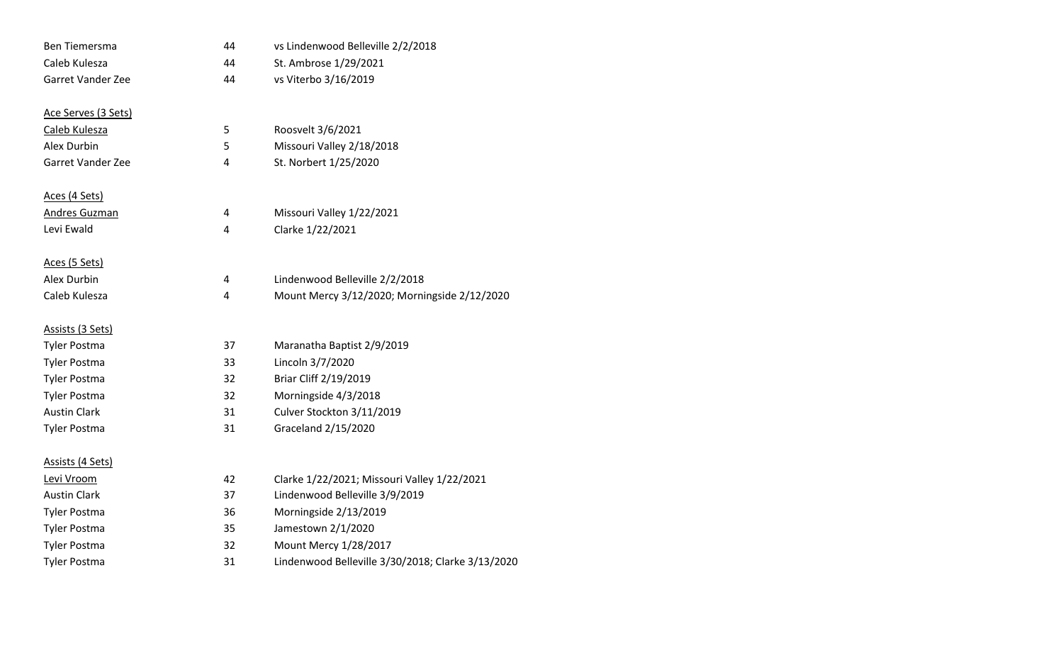| Ben Tiemersma            | 44 | vs Lindenwood Belleville 2/2/2018                 |
|--------------------------|----|---------------------------------------------------|
| Caleb Kulesza            | 44 | St. Ambrose 1/29/2021                             |
| <b>Garret Vander Zee</b> | 44 | vs Viterbo 3/16/2019                              |
| Ace Serves (3 Sets)      |    |                                                   |
| Caleb Kulesza            | 5  | Roosvelt 3/6/2021                                 |
| Alex Durbin              | 5  | Missouri Valley 2/18/2018                         |
| Garret Vander Zee        | 4  | St. Norbert 1/25/2020                             |
| Aces (4 Sets)            |    |                                                   |
| <b>Andres Guzman</b>     | 4  | Missouri Valley 1/22/2021                         |
| Levi Ewald               | 4  | Clarke 1/22/2021                                  |
| Aces (5 Sets)            |    |                                                   |
| Alex Durbin              | 4  | Lindenwood Belleville 2/2/2018                    |
| Caleb Kulesza            | 4  | Mount Mercy 3/12/2020; Morningside 2/12/2020      |
| Assists (3 Sets)         |    |                                                   |
| <b>Tyler Postma</b>      | 37 | Maranatha Baptist 2/9/2019                        |
| <b>Tyler Postma</b>      | 33 | Lincoln 3/7/2020                                  |
| <b>Tyler Postma</b>      | 32 | Briar Cliff 2/19/2019                             |
| <b>Tyler Postma</b>      | 32 | Morningside 4/3/2018                              |
| <b>Austin Clark</b>      | 31 | Culver Stockton 3/11/2019                         |
| <b>Tyler Postma</b>      | 31 | Graceland 2/15/2020                               |
| Assists (4 Sets)         |    |                                                   |
| Levi Vroom               | 42 | Clarke 1/22/2021; Missouri Valley 1/22/2021       |
| <b>Austin Clark</b>      | 37 | Lindenwood Belleville 3/9/2019                    |
| Tyler Postma             | 36 | Morningside 2/13/2019                             |
| <b>Tyler Postma</b>      | 35 | Jamestown 2/1/2020                                |
| <b>Tyler Postma</b>      | 32 | Mount Mercy 1/28/2017                             |
| <b>Tyler Postma</b>      | 31 | Lindenwood Belleville 3/30/2018; Clarke 3/13/2020 |
|                          |    |                                                   |